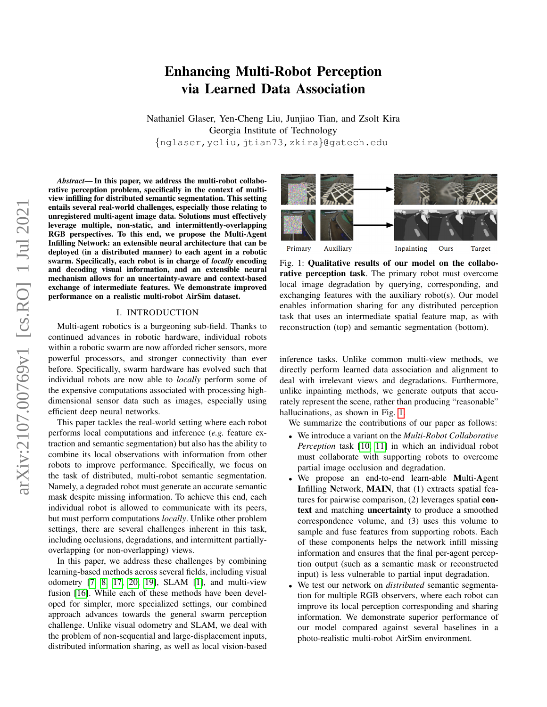# arXiv:2107.00769v1 [cs.RO] 1 Jul 2021 arXiv:2107.00769v1 [cs.RO] 1 Jul 2021

# Enhancing Multi-Robot Perception via Learned Data Association

Nathaniel Glaser, Yen-Cheng Liu, Junjiao Tian, and Zsolt Kira Georgia Institute of Technology {nglaser,ycliu,jtian73,zkira}@gatech.edu

*Abstract*— In this paper, we address the multi-robot collaborative perception problem, specifically in the context of multiview infilling for distributed semantic segmentation. This setting entails several real-world challenges, especially those relating to unregistered multi-agent image data. Solutions must effectively leverage multiple, non-static, and intermittently-overlapping RGB perspectives. To this end, we propose the Multi-Agent Infilling Network: an extensible neural architecture that can be deployed (in a distributed manner) to each agent in a robotic swarm. Specifically, each robot is in charge of *locally* encoding and decoding visual information, and an extensible neural mechanism allows for an uncertainty-aware and context-based exchange of intermediate features. We demonstrate improved performance on a realistic multi-robot AirSim dataset.

# I. INTRODUCTION

Multi-agent robotics is a burgeoning sub-field. Thanks to continued advances in robotic hardware, individual robots within a robotic swarm are now afforded richer sensors, more powerful processors, and stronger connectivity than ever before. Specifically, swarm hardware has evolved such that individual robots are now able to *locally* perform some of the expensive computations associated with processing highdimensional sensor data such as images, especially using efficient deep neural networks.

This paper tackles the real-world setting where each robot performs local computations and inference (*e.g.* feature extraction and semantic segmentation) but also has the ability to combine its local observations with information from other robots to improve performance. Specifically, we focus on the task of distributed, multi-robot semantic segmentation. Namely, a degraded robot must generate an accurate semantic mask despite missing information. To achieve this end, each individual robot is allowed to communicate with its peers, but must perform computations *locally*. Unlike other problem settings, there are several challenges inherent in this task, including occlusions, degradations, and intermittent partiallyoverlapping (or non-overlapping) views.

In this paper, we address these challenges by combining learning-based methods across several fields, including visual odometry [\[7,](#page-4-0) [8,](#page-4-1) [17,](#page-4-2) [20,](#page-4-3) [19\]](#page-4-4), SLAM [\[1\]](#page-4-5), and multi-view fusion [\[16\]](#page-4-6). While each of these methods have been developed for simpler, more specialized settings, our combined approach advances towards the general swarm perception challenge. Unlike visual odometry and SLAM, we deal with the problem of non-sequential and large-displacement inputs, distributed information sharing, as well as local vision-based

<span id="page-0-0"></span>

Fig. 1: Qualitative results of our model on the collaborative perception task. The primary robot must overcome local image degradation by querying, corresponding, and exchanging features with the auxiliary robot(s). Our model enables information sharing for any distributed perception task that uses an intermediate spatial feature map, as with reconstruction (top) and semantic segmentation (bottom).

inference tasks. Unlike common multi-view methods, we directly perform learned data association and alignment to deal with irrelevant views and degradations. Furthermore, unlike inpainting methods, we generate outputs that accurately represent the scene, rather than producing "reasonable" hallucinations, as shown in Fig. [1.](#page-0-0)

We summarize the contributions of our paper as follows:

- We introduce a variant on the *Multi-Robot Collaborative Perception* task [\[10,](#page-4-7) [11\]](#page-4-8) in which an individual robot must collaborate with supporting robots to overcome partial image occlusion and degradation.
- We propose an end-to-end learn-able Multi-Agent Infilling Network, MAIN, that (1) extracts spatial features for pairwise comparison, (2) leverages spatial context and matching uncertainty to produce a smoothed correspondence volume, and (3) uses this volume to sample and fuse features from supporting robots. Each of these components helps the network infill missing information and ensures that the final per-agent perception output (such as a semantic mask or reconstructed input) is less vulnerable to partial input degradation.
- We test our network on *distributed* semantic segmentation for multiple RGB observers, where each robot can improve its local perception corresponding and sharing information. We demonstrate superior performance of our model compared against several baselines in a photo-realistic multi-robot AirSim environment.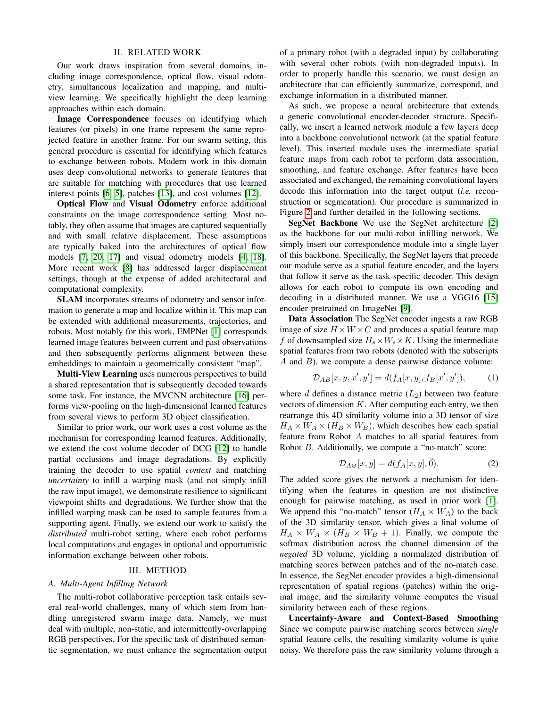### II. RELATED WORK

Our work draws inspiration from several domains, including image correspondence, optical flow, visual odometry, simultaneous localization and mapping, and multiview learning. We specifically highlight the deep learning approaches within each domain.

Image Correspondence focuses on identifying which features (or pixels) in one frame represent the same reprojected feature in another frame. For our swarm setting, this general procedure is essential for identifying which features to exchange between robots. Modern work in this domain uses deep convolutional networks to generate features that are suitable for matching with procedures that use learned interest points [\[6,](#page-4-9) [5\]](#page-4-10), patches [\[13\]](#page-4-11), and cost volumes [\[12\]](#page-4-12).

Optical Flow and Visual Odometry enforce additional constraints on the image correspondence setting. Most notably, they often assume that images are captured sequentially and with small relative displacement. These assumptions are typically baked into the architectures of optical flow models [\[7,](#page-4-0) [20,](#page-4-3) [17\]](#page-4-2) and visual odometry models [\[4,](#page-4-13) [18\]](#page-4-14). More recent work [\[8\]](#page-4-1) has addressed larger displacement settings, though at the expense of added architectural and computational complexity.

SLAM incorporates streams of odometry and sensor information to generate a map and localize within it. This map can be extended with additional measurements, trajectories, and robots. Most notably for this work, EMPNet [\[1\]](#page-4-5) corresponds learned image features between current and past observations and then subsequently performs alignment between these embeddings to maintain a geometrically consistent "map".

Multi-View Learning uses numerous perspectives to build a shared representation that is subsequently decoded towards some task. For instance, the MVCNN architecture [\[16\]](#page-4-6) performs view-pooling on the high-dimensional learned features from several views to perform 3D object classification.

Similar to prior work, our work uses a cost volume as the mechanism for corresponding learned features. Additionally, we extend the cost volume decoder of DCG [\[12\]](#page-4-12) to handle partial occlusions and image degradations. By explicitly training the decoder to use spatial *context* and matching *uncertainty* to infill a warping mask (and not simply infill the raw input image), we demonstrate resilience to significant viewpoint shifts and degradations. We further show that the infilled warping mask can be used to sample features from a supporting agent. Finally, we extend our work to satisfy the *distributed* multi-robot setting, where each robot performs local computations and engages in optional and opportunistic information exchange between other robots.

# III. METHOD

# *A. Multi-Agent Infilling Network*

The multi-robot collaborative perception task entails several real-world challenges, many of which stem from handling unregistered swarm image data. Namely, we must deal with multiple, non-static, and intermittently-overlapping RGB perspectives. For the specific task of distributed semantic segmentation, we must enhance the segmentation output

of a primary robot (with a degraded input) by collaborating with several other robots (with non-degraded inputs). In order to properly handle this scenario, we must design an architecture that can efficiently summarize, correspond, and exchange information in a distributed manner.

As such, we propose a neural architecture that extends a generic convolutional encoder-decoder structure. Specifically, we insert a learned network module a few layers deep into a backbone convolutional network (at the spatial feature level). This inserted module uses the intermediate spatial feature maps from each robot to perform data association, smoothing, and feature exchange. After features have been associated and exchanged, the remaining convolutional layers decode this information into the target output (*i.e.* reconstruction or segmentation). Our procedure is summarized in Figure [2](#page-2-0) and further detailed in the following sections.

SegNet Backbone We use the SegNet architecture [\[2\]](#page-4-15) as the backbone for our multi-robot infilling network. We simply insert our correspondence module into a single layer of this backbone. Specifically, the SegNet layers that precede our module serve as a spatial feature encoder, and the layers that follow it serve as the task-specific decoder. This design allows for each robot to compute its own encoding and decoding in a distributed manner. We use a VGG16 [\[15\]](#page-4-16) encoder pretrained on ImageNet [\[9\]](#page-4-17).

Data Association The SegNet encoder ingests a raw RGB image of size  $H \times W \times C$  and produces a spatial feature map f of downsampled size  $H_s \times W_s \times K$ . Using the intermediate spatial features from two robots (denoted with the subscripts  $A$  and  $B$ ), we compute a dense pairwise distance volume:

$$
\mathcal{D}_{AB}[x, y, x', y'] = d(f_A[x, y], f_B[x', y')), \qquad (1)
$$

where d defines a distance metric  $(L_2)$  between two feature vectors of dimension  $K$ . After computing each entry, we then rearrange this 4D similarity volume into a 3D tensor of size  $H_A \times W_A \times (H_B \times W_B)$ , which describes how each spatial feature from Robot A matches to all spatial features from Robot B. Additionally, we compute a "no-match" score:

$$
\mathcal{D}_{A\varnothing}[x,y] = d(f_A[x,y], \vec{0}).\tag{2}
$$

The added score gives the network a mechanism for identifying when the features in question are not distinctive enough for pairwise matching, as used in prior work [\[1\]](#page-4-5). We append this "no-match" tensor  $(H_A \times W_A)$  to the back of the 3D similarity tensor, which gives a final volume of  $H_A \times W_A \times (H_B \times W_B + 1)$ . Finally, we compute the softmax distribution across the channel dimension of the *negated* 3D volume, yielding a normalized distribution of matching scores between patches and of the no-match case. In essence, the SegNet encoder provides a high-dimensional representation of spatial regions (patches) within the original image, and the similarity volume computes the visual similarity between each of these regions.

Uncertainty-Aware and Context-Based Smoothing Since we compute pairwise matching scores between *single* spatial feature cells, the resulting similarity volume is quite noisy. We therefore pass the raw similarity volume through a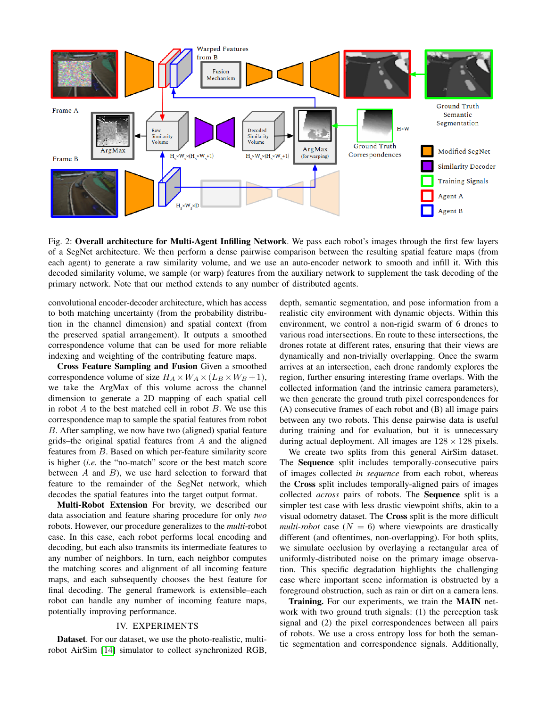<span id="page-2-0"></span>

Fig. 2: Overall architecture for Multi-Agent Infilling Network. We pass each robot's images through the first few layers of a SegNet architecture. We then perform a dense pairwise comparison between the resulting spatial feature maps (from each agent) to generate a raw similarity volume, and we use an auto-encoder network to smooth and infill it. With this decoded similarity volume, we sample (or warp) features from the auxiliary network to supplement the task decoding of the primary network. Note that our method extends to any number of distributed agents.

convolutional encoder-decoder architecture, which has access to both matching uncertainty (from the probability distribution in the channel dimension) and spatial context (from the preserved spatial arrangement). It outputs a smoothed correspondence volume that can be used for more reliable indexing and weighting of the contributing feature maps.

Cross Feature Sampling and Fusion Given a smoothed correspondence volume of size  $H_A \times W_A \times (L_B \times W_B + 1)$ , we take the ArgMax of this volume across the channel dimension to generate a 2D mapping of each spatial cell in robot  $A$  to the best matched cell in robot  $B$ . We use this correspondence map to sample the spatial features from robot B. After sampling, we now have two (aligned) spatial feature grids–the original spatial features from A and the aligned features from B. Based on which per-feature similarity score is higher (*i.e.* the "no-match" score or the best match score between  $A$  and  $B$ ), we use hard selection to forward that feature to the remainder of the SegNet network, which decodes the spatial features into the target output format.

Multi-Robot Extension For brevity, we described our data association and feature sharing procedure for only *two* robots. However, our procedure generalizes to the *multi*-robot case. In this case, each robot performs local encoding and decoding, but each also transmits its intermediate features to any number of neighbors. In turn, each neighbor computes the matching scores and alignment of all incoming feature maps, and each subsequently chooses the best feature for final decoding. The general framework is extensible–each robot can handle any number of incoming feature maps, potentially improving performance.

#### IV. EXPERIMENTS

Dataset. For our dataset, we use the photo-realistic, multirobot AirSim [\[14\]](#page-4-18) simulator to collect synchronized RGB, depth, semantic segmentation, and pose information from a realistic city environment with dynamic objects. Within this environment, we control a non-rigid swarm of 6 drones to various road intersections. En route to these intersections, the drones rotate at different rates, ensuring that their views are dynamically and non-trivially overlapping. Once the swarm arrives at an intersection, each drone randomly explores the region, further ensuring interesting frame overlaps. With the collected information (and the intrinsic camera parameters), we then generate the ground truth pixel correspondences for (A) consecutive frames of each robot and (B) all image pairs between any two robots. This dense pairwise data is useful during training and for evaluation, but it is unnecessary during actual deployment. All images are  $128 \times 128$  pixels.

We create two splits from this general AirSim dataset. The Sequence split includes temporally-consecutive pairs of images collected *in sequence* from each robot, whereas the Cross split includes temporally-aligned pairs of images collected *across* pairs of robots. The Sequence split is a simpler test case with less drastic viewpoint shifts, akin to a visual odometry dataset. The Cross split is the more difficult *multi-robot* case  $(N = 6)$  where viewpoints are drastically different (and oftentimes, non-overlapping). For both splits, we simulate occlusion by overlaying a rectangular area of uniformly-distributed noise on the primary image observation. This specific degradation highlights the challenging case where important scene information is obstructed by a foreground obstruction, such as rain or dirt on a camera lens.

Training. For our experiments, we train the MAIN network with two ground truth signals: (1) the perception task signal and (2) the pixel correspondences between all pairs of robots. We use a cross entropy loss for both the semantic segmentation and correspondence signals. Additionally,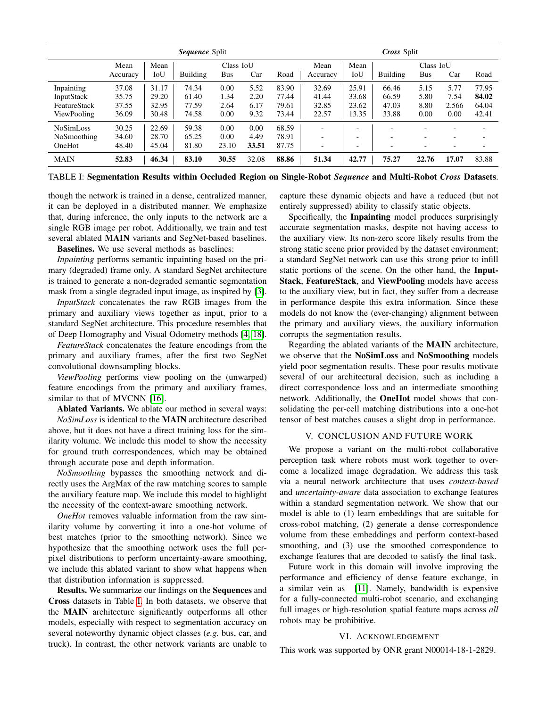<span id="page-3-0"></span>

|                                                                | <i>Sequence Split</i>            |                                  |                                  |                              |                              |                                  | <i>Cross</i> Split                                        |                                                                                  |                                                      |                                                      |                                                                                  |                                                                                  |
|----------------------------------------------------------------|----------------------------------|----------------------------------|----------------------------------|------------------------------|------------------------------|----------------------------------|-----------------------------------------------------------|----------------------------------------------------------------------------------|------------------------------------------------------|------------------------------------------------------|----------------------------------------------------------------------------------|----------------------------------------------------------------------------------|
|                                                                | Mean<br>Accuracy                 | Mean<br>IoU                      | Building                         | Class IoU<br><b>Bus</b>      | Car                          | Road                             | Mean<br>Accuracy                                          | Mean<br>$_{\rm IoU}$                                                             | <b>Building</b>                                      | Class IoU<br><b>Bus</b>                              | Car                                                                              | Road                                                                             |
| Inpainting<br><b>InputStack</b><br>FeatureStack<br>ViewPooling | 37.08<br>35.75<br>37.55<br>36.09 | 31.17<br>29.20<br>32.95<br>30.48 | 74.34<br>61.40<br>77.59<br>74.58 | 0.00<br>1.34<br>2.64<br>0.00 | 5.52<br>2.20<br>6.17<br>9.32 | 83.90<br>77.44<br>79.61<br>73.44 | 32.69<br>41.44<br>32.85<br>22.57                          | 25.91<br>33.68<br>23.62<br>13.35                                                 | 66.46<br>66.59<br>47.03<br>33.88                     | 5.15<br>5.80<br>8.80<br>0.00                         | 5.77<br>7.54<br>2.566<br>0.00                                                    | 77.95<br>84.02<br>64.04<br>42.41                                                 |
| <b>NoSimLoss</b><br>NoSmoothing<br>OneHot                      | 30.25<br>34.60<br>48.40          | 22.69<br>28.70<br>45.04          | 59.38<br>65.25<br>81.80          | 0.00<br>0.00<br>23.10        | 0.00<br>4.49<br>33.51        | 68.59<br>78.91<br>87.75          | $\overline{\phantom{0}}$<br>$\overline{\phantom{0}}$<br>٠ | $\overline{\phantom{0}}$<br>$\overline{\phantom{0}}$<br>$\overline{\phantom{0}}$ | $\overline{\phantom{0}}$<br>$\overline{\phantom{0}}$ | $\overline{\phantom{0}}$<br>$\overline{\phantom{0}}$ | $\overline{\phantom{0}}$<br>$\overline{\phantom{0}}$<br>$\overline{\phantom{0}}$ | $\overline{\phantom{0}}$<br>$\overline{\phantom{0}}$<br>$\overline{\phantom{a}}$ |
| <b>MAIN</b>                                                    | 52.83                            | 46.34                            | 83.10                            | 30.55                        | 32.08                        | 88.86                            | 51.34                                                     | 42.77                                                                            | 75.27                                                | 22.76                                                | 17.07                                                                            | 83.88                                                                            |

TABLE I: Segmentation Results within Occluded Region on Single-Robot *Sequence* and Multi-Robot *Cross* Datasets.

though the network is trained in a dense, centralized manner, it can be deployed in a distributed manner. We emphasize that, during inference, the only inputs to the network are a single RGB image per robot. Additionally, we train and test several ablated MAIN variants and SegNet-based baselines.

Baselines. We use several methods as baselines:

*Inpainting* performs semantic inpainting based on the primary (degraded) frame only. A standard SegNet architecture is trained to generate a non-degraded semantic segmentation mask from a single degraded input image, as inspired by [\[3\]](#page-4-19).

*InputStack* concatenates the raw RGB images from the primary and auxiliary views together as input, prior to a standard SegNet architecture. This procedure resembles that of Deep Homography and Visual Odometry methods [\[4,](#page-4-13) [18\]](#page-4-14).

*FeatureStack* concatenates the feature encodings from the primary and auxiliary frames, after the first two SegNet convolutional downsampling blocks.

*ViewPooling* performs view pooling on the (unwarped) feature encodings from the primary and auxiliary frames, similar to that of MVCNN [\[16\]](#page-4-6).

Ablated Variants. We ablate our method in several ways: *NoSimLoss* is identical to the MAIN architecture described above, but it does not have a direct training loss for the similarity volume. We include this model to show the necessity for ground truth correspondences, which may be obtained through accurate pose and depth information.

*NoSmoothing* bypasses the smoothing network and directly uses the ArgMax of the raw matching scores to sample the auxiliary feature map. We include this model to highlight the necessity of the context-aware smoothing network.

*OneHot* removes valuable information from the raw similarity volume by converting it into a one-hot volume of best matches (prior to the smoothing network). Since we hypothesize that the smoothing network uses the full perpixel distributions to perform uncertainty-aware smoothing, we include this ablated variant to show what happens when that distribution information is suppressed.

Results. We summarize our findings on the Sequences and Cross datasets in Table [I.](#page-3-0) In both datasets, we observe that the MAIN architecture significantly outperforms all other models, especially with respect to segmentation accuracy on several noteworthy dynamic object classes (*e.g.* bus, car, and truck). In contrast, the other network variants are unable to

capture these dynamic objects and have a reduced (but not entirely suppressed) ability to classify static objects.

Specifically, the Inpainting model produces surprisingly accurate segmentation masks, despite not having access to the auxiliary view. Its non-zero score likely results from the strong static scene prior provided by the dataset environment; a standard SegNet network can use this strong prior to infill static portions of the scene. On the other hand, the Input-Stack, FeatureStack, and ViewPooling models have access to the auxiliary view, but in fact, they suffer from a decrease in performance despite this extra information. Since these models do not know the (ever-changing) alignment between the primary and auxiliary views, the auxiliary information corrupts the segmentation results.

Regarding the ablated variants of the MAIN architecture, we observe that the NoSimLoss and NoSmoothing models yield poor segmentation results. These poor results motivate several of our architectural decision, such as including a direct correspondence loss and an intermediate smoothing network. Additionally, the OneHot model shows that consolidating the per-cell matching distributions into a one-hot tensor of best matches causes a slight drop in performance.

# V. CONCLUSION AND FUTURE WORK

We propose a variant on the multi-robot collaborative perception task where robots must work together to overcome a localized image degradation. We address this task via a neural network architecture that uses *context-based* and *uncertainty-aware* data association to exchange features within a standard segmentation network. We show that our model is able to (1) learn embeddings that are suitable for cross-robot matching, (2) generate a dense correspondence volume from these embeddings and perform context-based smoothing, and (3) use the smoothed correspondence to exchange features that are decoded to satisfy the final task.

Future work in this domain will involve improving the performance and efficiency of dense feature exchange, in a similar vein as [\[11\]](#page-4-8). Namely, bandwidth is expensive for a fully-connected multi-robot scenario, and exchanging full images or high-resolution spatial feature maps across *all* robots may be prohibitive.

## VI. ACKNOWLEDGEMENT

This work was supported by ONR grant N00014-18-1-2829.